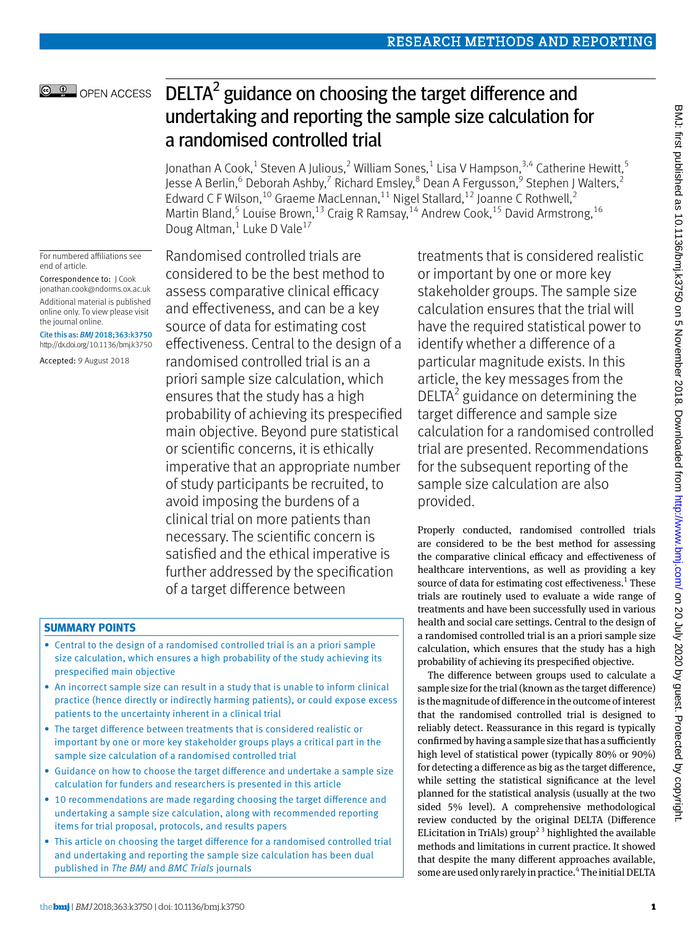# DELTA $2$  guidance on choosing the target difference and undertaking and reporting the sample size calculation for a randomised controlled trial

Jonathan A Cook, $^1$  Steven A Julious, $^2$  William Sones, $^1$  Lisa V Hampson, $^{3,4}$  Catherine Hewitt, $^5$ Jesse A Berlin,<sup>6</sup> Deborah Ashby,<sup>7</sup> Richard Emsley,<sup>8</sup> Dean A Fergusson,<sup>9</sup> Stephen J Walters,<sup>2</sup> Edward C F Wilson,<sup>10</sup> Graeme MacLennan,<sup>11</sup> Nigel Stallard,<sup>12</sup> Joanne C Rothwell,<sup>2</sup> Martin Bland,<sup>5</sup> Louise Brown,<sup>13</sup> Craig R Ramsay,<sup>14</sup> Andrew Cook,<sup>15</sup> David Armstrong,<sup>16</sup> Doug Altman,<sup>1</sup> Luke D Vale<sup>17</sup>

For numbered affiliations see end of article.

**@ 0** OPEN ACCESS

Correspondence to: J Cook [jonathan.cook@ndorms.ox.ac.uk](mailto:jonathan.cook@ndorms.ox.ac.uk) Additional material is published online only. To view please visit the journal online.

Cite this as: *BMJ* 2018;363:k3750 http://dx.doi.org/10.1136/bmj.k3750

Accepted: 9 August 2018

Randomised controlled trials are considered to be the best method to assess comparative clinical efficacy and effectiveness, and can be a key source of data for estimating cost effectiveness. Central to the design of a randomised controlled trial is an a priori sample size calculation, which ensures that the study has a high probability of achieving its prespecified main objective. Beyond pure statistical or scientific concerns, it is ethically imperative that an appropriate number of study participants be recruited, to avoid imposing the burdens of a clinical trial on more patients than necessary. The scientific concern is satisfied and the ethical imperative is further addressed by the specification of a target difference between

## **Summary points**

- Central to the design of a randomised controlled trial is an a priori sample size calculation, which ensures a high probability of the study achieving its prespecified main objective
- An incorrect sample size can result in a study that is unable to inform clinical practice (hence directly or indirectly harming patients), or could expose excess patients to the uncertainty inherent in a clinical trial
- The target difference between treatments that is considered realistic or important by one or more key stakeholder groups plays a critical part in the sample size calculation of a randomised controlled trial
- Guidance on how to choose the target difference and undertake a sample size calculation for funders and researchers is presented in this article
- 10 recommendations are made regarding choosing the target difference and undertaking a sample size calculation, along with recommended reporting items for trial proposal, protocols, and results papers
- This article on choosing the target difference for a randomised controlled trial and undertaking and reporting the sample size calculation has been dual published in *The BMJ* and *BMC Trials* journals

treatments that is considered realistic or important by one or more key stakeholder groups. The sample size calculation ensures that the trial will have the required statistical power to identify whether a difference of a particular magnitude exists. In this article, the key messages from the  $DELTA<sup>2</sup>$  guidance on determining the target difference and sample size calculation for a randomised controlled trial are presented. Recommendations for the subsequent reporting of the sample size calculation are also provided.

Properly conducted, randomised controlled trials are considered to be the best method for assessing the comparative clinical efficacy and effectiveness of healthcare interventions, as well as providing a key source of data for estimating cost effectiveness.<sup>1</sup> These trials are routinely used to evaluate a wide range of treatments and have been successfully used in various health and social care settings. Central to the design of a randomised controlled trial is an a priori sample size calculation, which ensures that the study has a high probability of achieving its prespecified objective.

The difference between groups used to calculate a sample size for the trial (known as the target difference) is the magnitude of difference in the outcome of interest that the randomised controlled trial is designed to reliably detect. Reassurance in this regard is typically confirmed by having a sample size that has a sufficiently high level of statistical power (typically 80% or 90%) for detecting a difference as big as the target difference, while setting the statistical significance at the level planned for the statistical analysis (usually at the two sided 5% level). A comprehensive methodological review conducted by the original DELTA (Difference ELicitation in TriAls) group<sup>23</sup> highlighted the available methods and limitations in current practice. It showed that despite the many different approaches available, some are used only rarely in practice.<sup>4</sup> The initial DELTA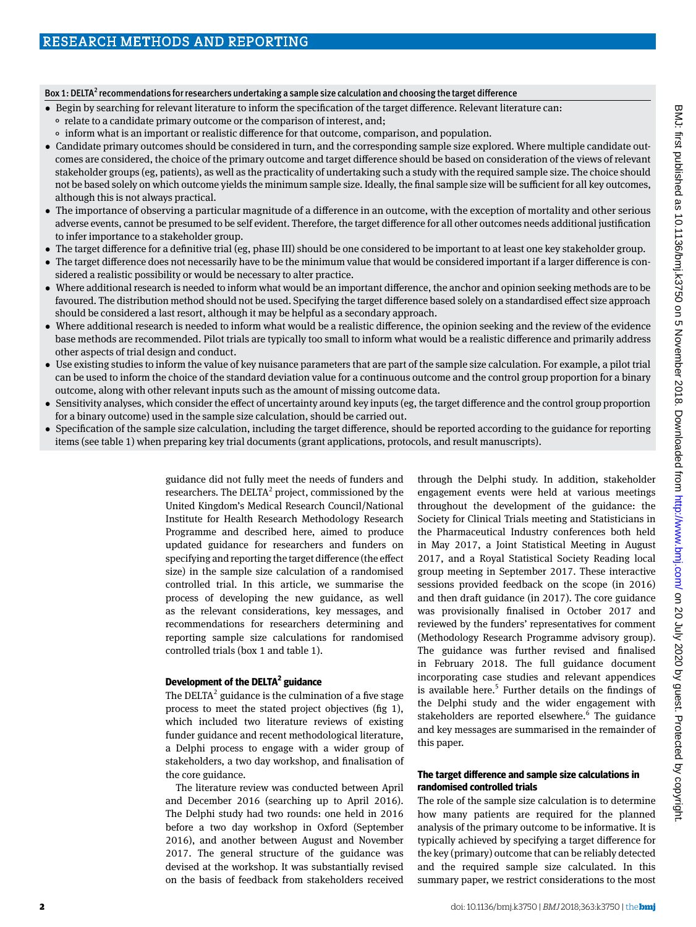#### Box 1: DELTA<sup>2</sup> recommendations for researchers undertaking a sample size calculation and choosing the target difference

- •  Begin by searching for relevant literature to inform the specification of the target difference. Relevant literature can:
	- °  relate to a candidate primary outcome or the comparison of interest, and;
	- °  inform what is an important or realistic difference for that outcome, comparison, and population.
- •  Candidate primary outcomes should be considered in turn, and the corresponding sample size explored. Where multiple candidate outcomes are considered, the choice of the primary outcome and target difference should be based on consideration of the views of relevant stakeholder groups (eg, patients), as well as the practicality of undertaking such a study with the required sample size. The choice should not be based solely on which outcome yields the minimum sample size. Ideally, the final sample size will be sufficient for all key outcomes, although this is not always practical.
- •  The importance of observing a particular magnitude of a difference in an outcome, with the exception of mortality and other serious adverse events, cannot be presumed to be self evident. Therefore, the target difference for all other outcomes needs additional justification to infer importance to a stakeholder group.
- •  The target difference for a definitive trial (eg, phase III) should be one considered to be important to at least one key stakeholder group.
- The target difference does not necessarily have to be the minimum value that would be considered important if a larger difference is considered a realistic possibility or would be necessary to alter practice.
- •  Where additional research is needed to inform what would be an important difference, the anchor and opinion seeking methods are to be favoured. The distribution method should not be used. Specifying the target difference based solely on a standardised effect size approach should be considered a last resort, although it may be helpful as a secondary approach.
- Where additional research is needed to inform what would be a realistic difference, the opinion seeking and the review of the evidence base methods are recommended. Pilot trials are typically too small to inform what would be a realistic difference and primarily address other aspects of trial design and conduct.
- Use existing studies to inform the value of key nuisance parameters that are part of the sample size calculation. For example, a pilot trial can be used to inform the choice of the standard deviation value for a continuous outcome and the control group proportion for a binary outcome, along with other relevant inputs such as the amount of missing outcome data.
- Sensitivity analyses, which consider the effect of uncertainty around key inputs (eg, the target difference and the control group proportion for a binary outcome) used in the sample size calculation, should be carried out.
- •  Specification of the sample size calculation, including the target difference, should be reported according to the guidance for reporting items (see table 1) when preparing key trial documents (grant applications, protocols, and result manuscripts).

guidance did not fully meet the needs of funders and researchers. The DELTA<sup>2</sup> project, commissioned by the United Kingdom's Medical Research Council/National Institute for Health Research Methodology Research Programme and described here, aimed to produce updated guidance for researchers and funders on specifying and reporting the target difference (the effect size) in the sample size calculation of a randomised controlled trial. In this article, we summarise the process of developing the new guidance, as well as the relevant considerations, key messages, and recommendations for researchers determining and reporting sample size calculations for randomised controlled trials (box 1 and table 1).

#### **Development of the DELTA <sup>2</sup> guidance**

The DELTA<sup>2</sup> guidance is the culmination of a five stage process to meet the stated project objectives (fig 1), which included two literature reviews of existing funder guidance and recent methodological literature, a Delphi process to engage with a wider group of stakeholders, a two day workshop, and finalisation of the core guidance.

The literature review was conducted between April and December 2016 (searching up to April 2016). The Delphi study had two rounds: one held in 2016 before a two day workshop in Oxford (September 2016), and another between August and November 2017. The general structure of the guidance was devised at the workshop. It was substantially revised on the basis of feedback from stakeholders received

through the Delphi study. In addition, stakeholder engagement events were held at various meetings throughout the development of the guidance: the Society for Clinical Trials meeting and Statisticians in the Pharmaceutical Industry conferences both held in May 2017, a Joint Statistical Meeting in August 2017, and a Royal Statistical Society Reading local group meeting in September 2017. These interactive sessions provided feedback on the scope (in 2016) and then draft guidance (in 2017). The core guidance was provisionally finalised in October 2017 and reviewed by the funders' representatives for comment (Methodology Research Programme advisory group). The guidance was further revised and finalised in February 2018. The full guidance document incorporating case studies and relevant appendices is available here. $5$  Further details on the findings of the Delphi study and the wider engagement with stakeholders are reported elsewhere.<sup>6</sup> The guidance and key messages are summarised in the remainder of this paper.

### **The target difference and sample size calculations in randomised controlled trials**

The role of the sample size calculation is to determine how many patients are required for the planned analysis of the primary outcome to be informative. It is typically achieved by specifying a target difference for the key (primary) outcome that can be reliably detected and the required sample size calculated. In this summary paper, we restrict considerations to the most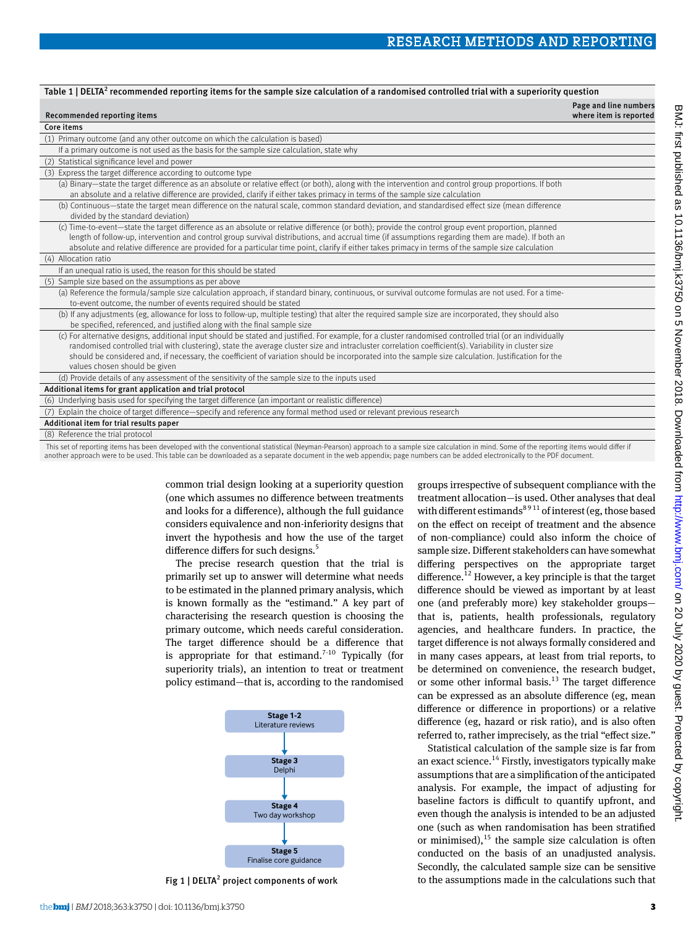| Table 1   DELTA <sup>2</sup> recommended reporting items for the sample size calculation of a randomised controlled trial with a superiority question                                                                                                                                                                                                                                                                                                                                                     |                                                 |
|-----------------------------------------------------------------------------------------------------------------------------------------------------------------------------------------------------------------------------------------------------------------------------------------------------------------------------------------------------------------------------------------------------------------------------------------------------------------------------------------------------------|-------------------------------------------------|
| Recommended reporting items                                                                                                                                                                                                                                                                                                                                                                                                                                                                               | Page and line numbers<br>where item is reported |
| Core items                                                                                                                                                                                                                                                                                                                                                                                                                                                                                                |                                                 |
| (1) Primary outcome (and any other outcome on which the calculation is based)                                                                                                                                                                                                                                                                                                                                                                                                                             |                                                 |
| If a primary outcome is not used as the basis for the sample size calculation, state why                                                                                                                                                                                                                                                                                                                                                                                                                  |                                                 |
| (2) Statistical significance level and power                                                                                                                                                                                                                                                                                                                                                                                                                                                              |                                                 |
| (3) Express the target difference according to outcome type                                                                                                                                                                                                                                                                                                                                                                                                                                               |                                                 |
| (a) Binary-state the target difference as an absolute or relative effect (or both), along with the intervention and control group proportions. If both<br>an absolute and a relative difference are provided, clarify if either takes primacy in terms of the sample size calculation                                                                                                                                                                                                                     |                                                 |
| (b) Continuous—state the target mean difference on the natural scale, common standard deviation, and standardised effect size (mean difference<br>divided by the standard deviation)                                                                                                                                                                                                                                                                                                                      |                                                 |
| (c) Time-to-event—state the target difference as an absolute or relative difference (or both); provide the control group event proportion, planned<br>length of follow-up, intervention and control group survival distributions, and accrual time (if assumptions regarding them are made). If both an<br>absolute and relative difference are provided for a particular time point, clarify if either takes primacy in terms of the sample size calculation                                             |                                                 |
| (4) Allocation ratio                                                                                                                                                                                                                                                                                                                                                                                                                                                                                      |                                                 |
| If an unequal ratio is used, the reason for this should be stated                                                                                                                                                                                                                                                                                                                                                                                                                                         |                                                 |
| (5) Sample size based on the assumptions as per above                                                                                                                                                                                                                                                                                                                                                                                                                                                     |                                                 |
| (a) Reference the formula/sample size calculation approach, if standard binary, continuous, or survival outcome formulas are not used. For a time-<br>to-event outcome, the number of events required should be stated                                                                                                                                                                                                                                                                                    |                                                 |
| (b) If any adjustments (eg, allowance for loss to follow-up, multiple testing) that alter the required sample size are incorporated, they should also<br>be specified, referenced, and justified along with the final sample size                                                                                                                                                                                                                                                                         |                                                 |
| (c) For alternative designs, additional input should be stated and justified. For example, for a cluster randomised controlled trial (or an individually<br>randomised controlled trial with clustering), state the average cluster size and intracluster correlation coefficient(s). Variability in cluster size<br>should be considered and, if necessary, the coefficient of variation should be incorporated into the sample size calculation. Justification for the<br>values chosen should be given |                                                 |
| (d) Provide details of any assessment of the sensitivity of the sample size to the inputs used                                                                                                                                                                                                                                                                                                                                                                                                            |                                                 |
| Additional items for grant application and trial protocol                                                                                                                                                                                                                                                                                                                                                                                                                                                 |                                                 |
| (6) Underlying basis used for specifying the target difference (an important or realistic difference)                                                                                                                                                                                                                                                                                                                                                                                                     |                                                 |
| (7) Explain the choice of target difference—specify and reference any formal method used or relevant previous research                                                                                                                                                                                                                                                                                                                                                                                    |                                                 |
| Additional item for trial results paper                                                                                                                                                                                                                                                                                                                                                                                                                                                                   |                                                 |
| (8) Reference the trial protocol                                                                                                                                                                                                                                                                                                                                                                                                                                                                          |                                                 |

 This set of reporting items has been developed with the conventional statistical (Neyman-Pearson) approach to a sample size calculation in mind. Some of the reporting items would differ if another approach were to be used. This table can be downloaded as a separate document in the web appendix; page numbers can be added electronically to the PDF document.

> common trial design looking at a superiority question (one which assumes no difference between treatments and looks for a difference), although the full guidance considers equivalence and non-inferiority designs that invert the hypothesis and how the use of the target difference differs for such designs.<sup>5</sup>

The precise research question that the trial is primarily set up to answer will determine what needs to be estimated in the planned primary analysis, which is known formally as the "estimand." A key part of characterising the research question is choosing the primary outcome, which needs careful consideration. The target difference should be a difference that is appropriate for that estimand.<sup>7-10</sup> Typically (for superiority trials), an intention to treat or treatment policy estimand—that is, according to the randomised



Fig 1 | DELTA<sup>2</sup> project components of work

groups irrespective of subsequent compliance with the treatment allocation—is used. Other analyses that deal with different estimands<sup>8911</sup> of interest (eg, those based on the effect on receipt of treatment and the absence of non-compliance) could also inform the choice of sample size. Different stakeholders can have somewhat differing perspectives on the appropriate target difference.<sup>12</sup> However, a key principle is that the target difference should be viewed as important by at least one (and preferably more) key stakeholder groups that is, patients, health professionals, regulatory agencies, and healthcare funders. In practice, the target difference is not always formally considered and in many cases appears, at least from trial reports, to be determined on convenience, the research budget, or some other informal basis. $13$  The target difference can be expressed as an absolute difference (eg, mean difference or difference in proportions) or a relative difference (eg, hazard or risk ratio), and is also often referred to, rather imprecisely, as the trial "effect size."

Statistical calculation of the sample size is far from an exact science.<sup>14</sup> Firstly, investigators typically make assumptions that are a simplification of the anticipated analysis. For example, the impact of adjusting for baseline factors is difficult to quantify upfront, and even though the analysis is intended to be an adjusted one (such as when randomisation has been stratified or minimised), $^{15}$  the sample size calculation is often conducted on the basis of an unadjusted analysis. Secondly, the calculated sample size can be sensitive to the assumptions made in the calculations such that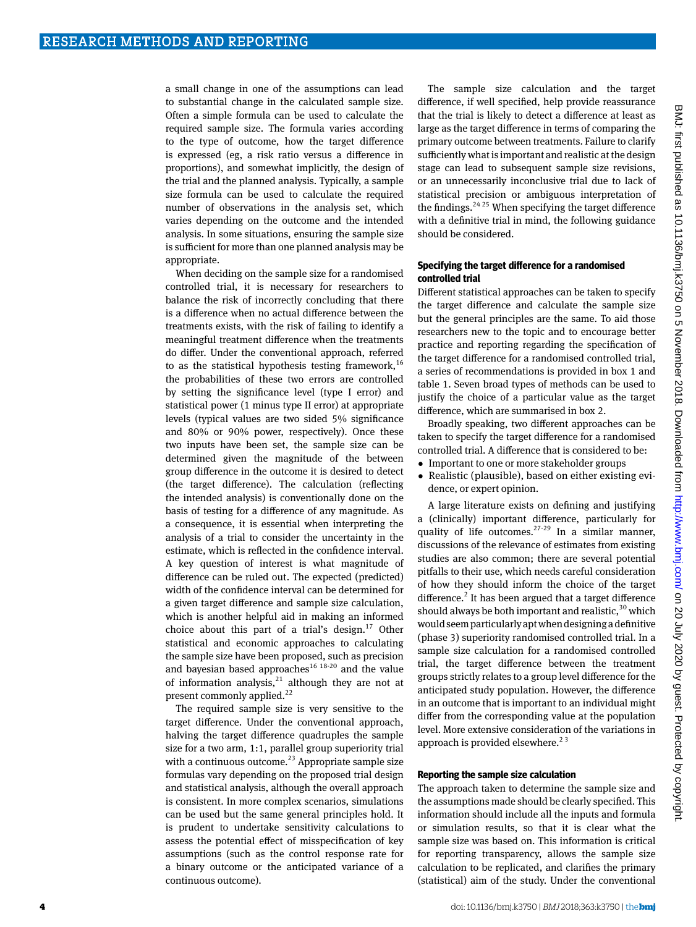a small change in one of the assumptions can lead to substantial change in the calculated sample size. Often a simple formula can be used to calculate the required sample size. The formula varies according to the type of outcome, how the target difference is expressed (eg, a risk ratio versus a difference in proportions), and somewhat implicitly, the design of the trial and the planned analysis. Typically, a sample size formula can be used to calculate the required number of observations in the analysis set, which varies depending on the outcome and the intended analysis. In some situations, ensuring the sample size is sufficient for more than one planned analysis may be appropriate.

When deciding on the sample size for a randomised controlled trial, it is necessary for researchers to balance the risk of incorrectly concluding that there is a difference when no actual difference between the treatments exists, with the risk of failing to identify a meaningful treatment difference when the treatments do differ. Under the conventional approach, referred to as the statistical hypothesis testing framework,  $16$ the probabilities of these two errors are controlled by setting the significance level (type I error) and statistical power (1 minus type II error) at appropriate levels (typical values are two sided 5% significance and 80% or 90% power, respectively). Once these two inputs have been set, the sample size can be determined given the magnitude of the between group difference in the outcome it is desired to detect (the target difference). The calculation (reflecting the intended analysis) is conventionally done on the basis of testing for a difference of any magnitude. As a consequence, it is essential when interpreting the analysis of a trial to consider the uncertainty in the estimate, which is reflected in the confidence interval. A key question of interest is what magnitude of difference can be ruled out. The expected (predicted) width of the confidence interval can be determined for a given target difference and sample size calculation, which is another helpful aid in making an informed choice about this part of a trial's design. $^{17}$  Other statistical and economic approaches to calculating the sample size have been proposed, such as precision and bayesian based approaches<sup>16 18-20</sup> and the value of information analysis, $21$  although they are not at present commonly applied.<sup>22</sup>

The required sample size is very sensitive to the target difference. Under the conventional approach, halving the target difference quadruples the sample size for a two arm, 1:1, parallel group superiority trial with a continuous outcome.<sup>23</sup> Appropriate sample size formulas vary depending on the proposed trial design and statistical analysis, although the overall approach is consistent. In more complex scenarios, simulations can be used but the same general principles hold. It is prudent to undertake sensitivity calculations to assess the potential effect of misspecification of key assumptions (such as the control response rate for a binary outcome or the anticipated variance of a continuous outcome).

The sample size calculation and the target difference, if well specified, help provide reassurance that the trial is likely to detect a difference at least as large as the target difference in terms of comparing the primary outcome between treatments. Failure to clarify sufficiently what is important and realistic at the design stage can lead to subsequent sample size revisions, or an unnecessarily inconclusive trial due to lack of statistical precision or ambiguous interpretation of the findings.<sup>24,25</sup> When specifying the target difference with a definitive trial in mind, the following guidance should be considered.

#### **Specifying the target difference for a randomised controlled trial**

Different statistical approaches can be taken to specify the target difference and calculate the sample size but the general principles are the same. To aid those researchers new to the topic and to encourage better practice and reporting regarding the specification of the target difference for a randomised controlled trial, a series of recommendations is provided in box 1 and table 1. Seven broad types of methods can be used to justify the choice of a particular value as the target difference, which are summarised in box 2.

Broadly speaking, two different approaches can be taken to specify the target difference for a randomised controlled trial. A difference that is considered to be:

- Important to one or more stakeholder groups
- Realistic (plausible), based on either existing evidence, or expert opinion.

A large literature exists on defining and justifying a (clinically) important difference, particularly for quality of life outcomes.<sup>27-29</sup> In a similar manner, discussions of the relevance of estimates from existing studies are also common; there are several potential pitfalls to their use, which needs careful consideration of how they should inform the choice of the target difference.<sup>2</sup> It has been argued that a target difference should always be both important and realistic,  $30$  which would seem particularly apt when designing a definitive (phase 3) superiority randomised controlled trial. In a sample size calculation for a randomised controlled trial, the target difference between the treatment groups strictly relates to a group level difference for the anticipated study population. However, the difference in an outcome that is important to an individual might differ from the corresponding value at the population level. More extensive consideration of the variations in approach is provided elsewhere.<sup>23</sup>

#### **Reporting the sample size calculation**

The approach taken to determine the sample size and the assumptions made should be clearly specified. This information should include all the inputs and formula or simulation results, so that it is clear what the sample size was based on. This information is critical for reporting transparency, allows the sample size calculation to be replicated, and clarifies the primary (statistical) aim of the study. Under the conventional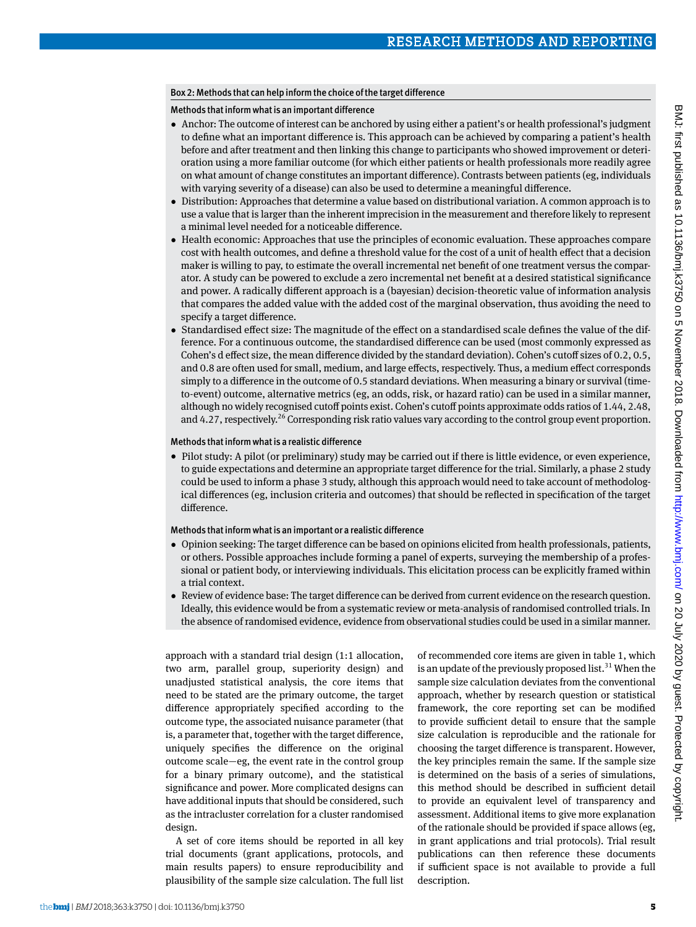## Box 2: Methods that can help inform the choice of the target difference

Methods that inform what is an important difference

- •  Anchor: The outcome of interest can be anchored by using either a patient's or health professional's judgment to define what an important difference is. This approach can be achieved by comparing a patient's health before and after treatment and then linking this change to participants who showed improvement or deterioration using a more familiar outcome (for which either patients or health professionals more readily agree on what amount of change constitutes an important difference). Contrasts between patients (eg, individuals with varying severity of a disease) can also be used to determine a meaningful difference.
- •  Distribution: Approaches that determine a value based on distributional variation. A common approach is to use a value that is larger than the inherent imprecision in the measurement and therefore likely to represent a minimal level needed for a noticeable difference.
- Health economic: Approaches that use the principles of economic evaluation. These approaches compare cost with health outcomes, and define a threshold value for the cost of a unit of health effect that a decision maker is willing to pay, to estimate the overall incremental net benefit of one treatment versus the comparator. A study can be powered to exclude a zero incremental net benefit at a desired statistical significance and power. A radically different approach is a (bayesian) decision-theoretic value of information analysis that compares the added value with the added cost of the marginal observation, thus avoiding the need to specify a target difference.
- •  Standardised effect size: The magnitude of the effect on a standardised scale defines the value of the difference. For a continuous outcome, the standardised difference can be used (most commonly expressed as Cohen's d effect size, the mean difference divided by the standard deviation). Cohen's cutoff sizes of 0.2, 0.5, and 0.8 are often used for small, medium, and large effects, respectively. Thus, a medium effect corresponds simply to a difference in the outcome of 0.5 standard deviations. When measuring a binary or survival (timeto-event) outcome, alternative metrics (eg, an odds, risk, or hazard ratio) can be used in a similar manner, although no widely recognised cutoff points exist. Cohen's cutoff points approximate odds ratios of 1.44, 2.48, and 4.27, respectively.<sup>26</sup> Corresponding risk ratio values vary according to the control group event proportion.

## Methods that inform what is a realistic difference

• Pilot study: A pilot (or preliminary) study may be carried out if there is little evidence, or even experience, to guide expectations and determine an appropriate target difference for the trial. Similarly, a phase 2 study could be used to inform a phase 3 study, although this approach would need to take account of methodological differences (eg, inclusion criteria and outcomes) that should be reflected in specification of the target difference.

## Methods that inform what is an important or a realistic difference

- •  Opinion seeking: The target difference can be based on opinions elicited from health professionals, patients, or others. Possible approaches include forming a panel of experts, surveying the membership of a professional or patient body, or interviewing individuals. This elicitation process can be explicitly framed within a trial context.
- •  Review of evidence base: The target difference can be derived from current evidence on the research question. Ideally, this evidence would be from a systematic review or meta-analysis of randomised controlled trials. In the absence of randomised evidence, evidence from observational studies could be used in a similar manner.

approach with a standard trial design (1:1 allocation, two arm, parallel group, superiority design) and unadjusted statistical analysis, the core items that need to be stated are the primary outcome, the target difference appropriately specified according to the outcome type, the associated nuisance parameter (that is, a parameter that, together with the target difference, uniquely specifies the difference on the original outcome scale—eg, the event rate in the control group for a binary primary outcome), and the statistical significance and power. More complicated designs can have additional inputs that should be considered, such as the intracluster correlation for a cluster randomised design.

A set of core items should be reported in all key trial documents (grant applications, protocols, and main results papers) to ensure reproducibility and plausibility of the sample size calculation. The full list of recommended core items are given in table 1, which is an update of the previously proposed list.<sup>31</sup> When the sample size calculation deviates from the conventional approach, whether by research question or statistical framework, the core reporting set can be modified to provide sufficient detail to ensure that the sample size calculation is reproducible and the rationale for choosing the target difference is transparent. However, the key principles remain the same. If the sample size is determined on the basis of a series of simulations, this method should be described in sufficient detail to provide an equivalent level of transparency and assessment. Additional items to give more explanation of the rationale should be provided if space allows (eg, in grant applications and trial protocols). Trial result publications can then reference these documents if sufficient space is not available to provide a full description.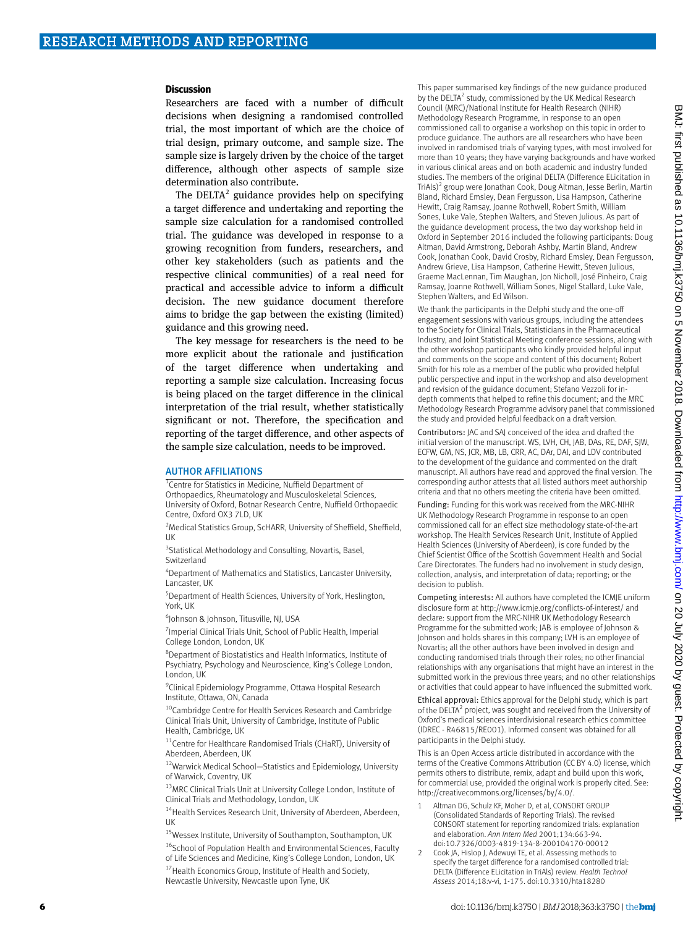#### **Discussion**

Researchers are faced with a number of difficult decisions when designing a randomised controlled trial, the most important of which are the choice of trial design, primary outcome, and sample size. The sample size is largely driven by the choice of the target difference, although other aspects of sample size determination also contribute.

The  $DELTA<sup>2</sup>$  guidance provides help on specifying a target difference and undertaking and reporting the sample size calculation for a randomised controlled trial. The guidance was developed in response to a growing recognition from funders, researchers, and other key stakeholders (such as patients and the respective clinical communities) of a real need for practical and accessible advice to inform a difficult decision. The new guidance document therefore aims to bridge the gap between the existing (limited) guidance and this growing need.

The key message for researchers is the need to be more explicit about the rationale and justification of the target difference when undertaking and reporting a sample size calculation. Increasing focus is being placed on the target difference in the clinical interpretation of the trial result, whether statistically significant or not. Therefore, the specification and reporting of the target difference, and other aspects of the sample size calculation, needs to be improved.

#### AUTHOR AFFILIATIONS

<sup>1</sup> Centre for Statistics in Medicine, Nuffield Department of

Orthopaedics, Rheumatology and Musculoskeletal Sciences, University of Oxford, Botnar Research Centre, Nuffield Orthopaedic Centre, Oxford OX3 7LD, UK

<sup>2</sup> Medical Statistics Group, ScHARR, University of Sheffield, Sheffield, UK

<sup>3</sup>Statistical Methodology and Consulting, Novartis, Basel, Switzerland

4 Department of Mathematics and Statistics, Lancaster University, Lancaster, UK

5 Department of Health Sciences, University of York, Heslington, York, UK

6 Johnson & Johnson, Titusville, NJ, USA

<sup>7</sup> Imperial Clinical Trials Unit, School of Public Health, Imperial College London, London, UK

8 Department of Biostatistics and Health Informatics, Institute of Psychiatry, Psychology and Neuroscience, King's College London, London, UK

<sup>9</sup> Clinical Epidemiology Programme, Ottawa Hospital Research Institute, Ottawa, ON, Canada

<sup>10</sup>Cambridge Centre for Health Services Research and Cambridge Clinical Trials Unit, University of Cambridge, Institute of Public Health, Cambridge, UK

<sup>11</sup>Centre for Healthcare Randomised Trials (CHaRT), University of Aberdeen, Aberdeen, UK

<sup>12</sup>Warwick Medical School-Statistics and Epidemiology, University of Warwick, Coventry, UK

<sup>13</sup>MRC Clinical Trials Unit at University College London, Institute of Clinical Trials and Methodology, London, UK

<sup>14</sup> Health Services Research Unit, University of Aberdeen, Aberdeen, UK

15Wessex Institute, University of Southampton, Southampton, UK <sup>16</sup>School of Population Health and Environmental Sciences, Faculty of Life Sciences and Medicine, King's College London, London, UK <sup>17</sup> Health Economics Group, Institute of Health and Society, Newcastle University, Newcastle upon Tyne, UK

This paper summarised key findings of the new guidance produced by the DELTA<sup>2</sup> study, commissioned by the UK Medical Research Council (MRC)/National Institute for Health Research (NIHR) Methodology Research Programme, in response to an open commissioned call to organise a workshop on this topic in order to produce guidance. The authors are all researchers who have been involved in randomised trials of varying types, with most involved for more than 10 years; they have varying backgrounds and have worked in various clinical areas and on both academic and industry funded studies. The members of the original DELTA (Difference ELicitation in TriAls)<sup>2</sup> group were Jonathan Cook, Doug Altman, Jesse Berlin, Martin Bland, Richard Emsley, Dean Fergusson, Lisa Hampson, Catherine Hewitt, Craig Ramsay, Joanne Rothwell, Robert Smith, William Sones, Luke Vale, Stephen Walters, and Steven Julious. As part of the guidance development process, the two day workshop held in Oxford in September 2016 included the following participants: Doug Altman, David Armstrong, Deborah Ashby, Martin Bland, Andrew Cook, Jonathan Cook, David Crosby, Richard Emsley, Dean Fergusson, Andrew Grieve, Lisa Hampson, Catherine Hewitt, Steven Julious, Graeme MacLennan, Tim Maughan, Jon Nicholl, José Pinheiro, Craig Ramsay, Joanne Rothwell, William Sones, Nigel Stallard, Luke Vale, Stephen Walters, and Ed Wilson.

We thank the participants in the Delphi study and the one-off engagement sessions with various groups, including the attendees to the Society for Clinical Trials, Statisticians in the Pharmaceutical Industry, and Joint Statistical Meeting conference sessions, along with the other workshop participants who kindly provided helpful input and comments on the scope and content of this document; Robert Smith for his role as a member of the public who provided helpful public perspective and input in the workshop and also development and revision of the guidance document; Stefano Vezzoli for indepth comments that helped to refine this document; and the MRC Methodology Research Programme advisory panel that commissioned the study and provided helpful feedback on a draft version.

Contributors: JAC and SAJ conceived of the idea and drafted the initial version of the manuscript. WS, LVH, CH, JAB, DAs, RE, DAF, SJW, ECFW, GM, NS, JCR, MB, LB, CRR, AC, DAr, DAl, and LDV contributed to the development of the guidance and commented on the draft manuscript. All authors have read and approved the final version. The corresponding author attests that all listed authors meet authorship criteria and that no others meeting the criteria have been omitted.

Funding: Funding for this work was received from the MRC-NIHR UK Methodology Research Programme in response to an open commissioned call for an effect size methodology state-of-the-art workshop. The Health Services Research Unit, Institute of Applied Health Sciences (University of Aberdeen), is core funded by the Chief Scientist Office of the Scottish Government Health and Social Care Directorates. The funders had no involvement in study design, collection, analysis, and interpretation of data; reporting; or the decision to publish.

Competing interests: All authors have completed the ICMJE uniform disclosure form at http://www.icmje.org/conflicts-of-interest/ and declare: support from the MRC-NIHR UK Methodology Research Programme for the submitted work; JAB is employee of Johnson & Johnson and holds shares in this company; LVH is an employee of Novartis; all the other authors have been involved in design and conducting randomised trials through their roles; no other financial relationships with any organisations that might have an interest in the submitted work in the previous three years; and no other relationships or activities that could appear to have influenced the submitted work.

Ethical approval: Ethics approval for the Delphi study, which is part of the DELTA<sup>2</sup> project, was sought and received from the University of Oxford's medical sciences interdivisional research ethics committee (IDREC - R46815/RE001). Informed consent was obtained for all participants in the Delphi study.

This is an Open Access article distributed in accordance with the terms of the Creative Commons Attribution (CC BY 4.0) license, which permits others to distribute, remix, adapt and build upon this work, for commercial use, provided the original work is properly cited. See: <http://creativecommons.org/licenses/by/4.0/>.

- Altman DG, Schulz KF, Moher D, et al, CONSORT GROUP (Consolidated Standards of Reporting Trials). The revised CONSORT statement for reporting randomized trials: explanation and elaboration. *Ann Intern Med* 2001;134:663-94. doi:10.7326/0003-4819-134-8-200104170-00012
- 2 Cook JA, Hislop J, Adewuyi TE, et al. Assessing methods to specify the target difference for a randomised controlled trial: DELTA (Difference ELicitation in TriAls) review. *Health Technol Assess* 2014;18:v-vi, 1-175. doi:10.3310/hta18280